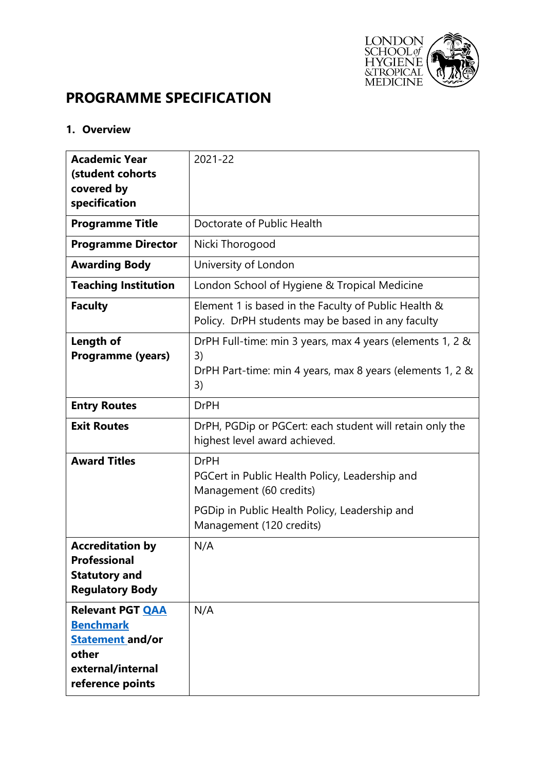

# **PROGRAMME SPECIFICATION**

## **1. Overview**

| <b>Academic Year</b><br>(student cohorts<br>covered by<br>specification                                                  | 2021-22                                                                                                                                                               |  |  |  |
|--------------------------------------------------------------------------------------------------------------------------|-----------------------------------------------------------------------------------------------------------------------------------------------------------------------|--|--|--|
| <b>Programme Title</b>                                                                                                   | Doctorate of Public Health                                                                                                                                            |  |  |  |
| <b>Programme Director</b>                                                                                                | Nicki Thorogood                                                                                                                                                       |  |  |  |
| <b>Awarding Body</b>                                                                                                     | University of London                                                                                                                                                  |  |  |  |
| <b>Teaching Institution</b>                                                                                              | London School of Hygiene & Tropical Medicine                                                                                                                          |  |  |  |
| <b>Faculty</b>                                                                                                           | Element 1 is based in the Faculty of Public Health &<br>Policy. DrPH students may be based in any faculty                                                             |  |  |  |
| Length of<br><b>Programme (years)</b>                                                                                    | DrPH Full-time: min 3 years, max 4 years (elements 1, 2 &<br>3)<br>DrPH Part-time: min 4 years, max 8 years (elements 1, 2 &<br>3)                                    |  |  |  |
| <b>Entry Routes</b>                                                                                                      | <b>DrPH</b>                                                                                                                                                           |  |  |  |
| <b>Exit Routes</b>                                                                                                       | DrPH, PGDip or PGCert: each student will retain only the<br>highest level award achieved.                                                                             |  |  |  |
| <b>Award Titles</b>                                                                                                      | <b>DrPH</b><br>PGCert in Public Health Policy, Leadership and<br>Management (60 credits)<br>PGDip in Public Health Policy, Leadership and<br>Management (120 credits) |  |  |  |
| <b>Accreditation by</b><br><b>Professional</b><br><b>Statutory and</b><br><b>Regulatory Body</b>                         | N/A                                                                                                                                                                   |  |  |  |
| <b>Relevant PGT QAA</b><br><b>Benchmark</b><br><b>Statement and/or</b><br>other<br>external/internal<br>reference points | N/A                                                                                                                                                                   |  |  |  |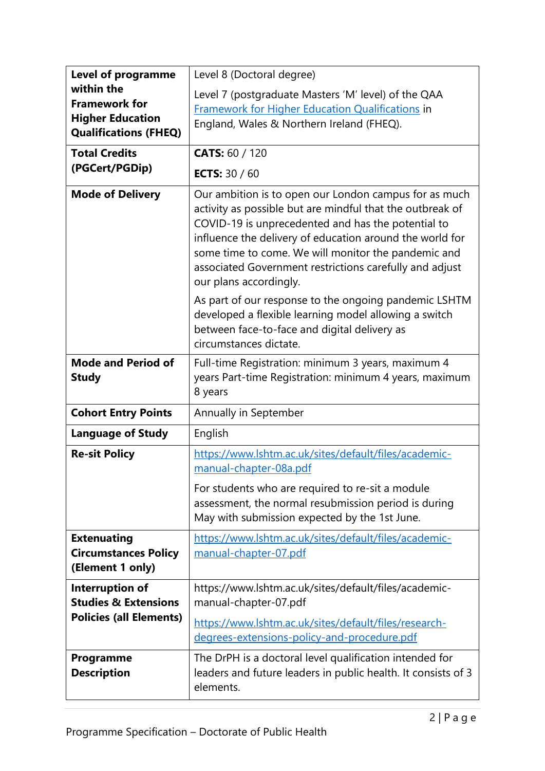| <b>Level of programme</b>                                             | Level 8 (Doctoral degree)                                                                                                                                                                                                                                                                                                                                                        |  |  |  |
|-----------------------------------------------------------------------|----------------------------------------------------------------------------------------------------------------------------------------------------------------------------------------------------------------------------------------------------------------------------------------------------------------------------------------------------------------------------------|--|--|--|
| within the<br><b>Framework for</b>                                    | Level 7 (postgraduate Masters 'M' level) of the QAA<br><b>Framework for Higher Education Qualifications in</b>                                                                                                                                                                                                                                                                   |  |  |  |
| <b>Higher Education</b><br><b>Qualifications (FHEQ)</b>               | England, Wales & Northern Ireland (FHEQ).                                                                                                                                                                                                                                                                                                                                        |  |  |  |
| <b>Total Credits</b>                                                  | <b>CATS: 60 / 120</b>                                                                                                                                                                                                                                                                                                                                                            |  |  |  |
| (PGCert/PGDip)                                                        | <b>ECTS:</b> $30 / 60$                                                                                                                                                                                                                                                                                                                                                           |  |  |  |
| <b>Mode of Delivery</b>                                               | Our ambition is to open our London campus for as much<br>activity as possible but are mindful that the outbreak of<br>COVID-19 is unprecedented and has the potential to<br>influence the delivery of education around the world for<br>some time to come. We will monitor the pandemic and<br>associated Government restrictions carefully and adjust<br>our plans accordingly. |  |  |  |
|                                                                       | As part of our response to the ongoing pandemic LSHTM<br>developed a flexible learning model allowing a switch<br>between face-to-face and digital delivery as<br>circumstances dictate.                                                                                                                                                                                         |  |  |  |
| <b>Mode and Period of</b><br><b>Study</b>                             | Full-time Registration: minimum 3 years, maximum 4<br>years Part-time Registration: minimum 4 years, maximum<br>8 years                                                                                                                                                                                                                                                          |  |  |  |
| <b>Cohort Entry Points</b>                                            | Annually in September                                                                                                                                                                                                                                                                                                                                                            |  |  |  |
| <b>Language of Study</b>                                              | English                                                                                                                                                                                                                                                                                                                                                                          |  |  |  |
| <b>Re-sit Policy</b>                                                  | https://www.lshtm.ac.uk/sites/default/files/academic-<br>manual-chapter-08a.pdf                                                                                                                                                                                                                                                                                                  |  |  |  |
|                                                                       | For students who are required to re-sit a module<br>assessment, the normal resubmission period is during<br>May with submission expected by the 1st June.                                                                                                                                                                                                                        |  |  |  |
| <b>Extenuating</b><br><b>Circumstances Policy</b><br>(Element 1 only) | https://www.lshtm.ac.uk/sites/default/files/academic-<br>manual-chapter-07.pdf                                                                                                                                                                                                                                                                                                   |  |  |  |
| Interruption of<br><b>Studies &amp; Extensions</b>                    | https://www.lshtm.ac.uk/sites/default/files/academic-<br>manual-chapter-07.pdf                                                                                                                                                                                                                                                                                                   |  |  |  |
| <b>Policies (all Elements)</b>                                        | https://www.lshtm.ac.uk/sites/default/files/research-<br>degrees-extensions-policy-and-procedure.pdf                                                                                                                                                                                                                                                                             |  |  |  |
| Programme<br><b>Description</b>                                       | The DrPH is a doctoral level qualification intended for<br>leaders and future leaders in public health. It consists of 3<br>elements.                                                                                                                                                                                                                                            |  |  |  |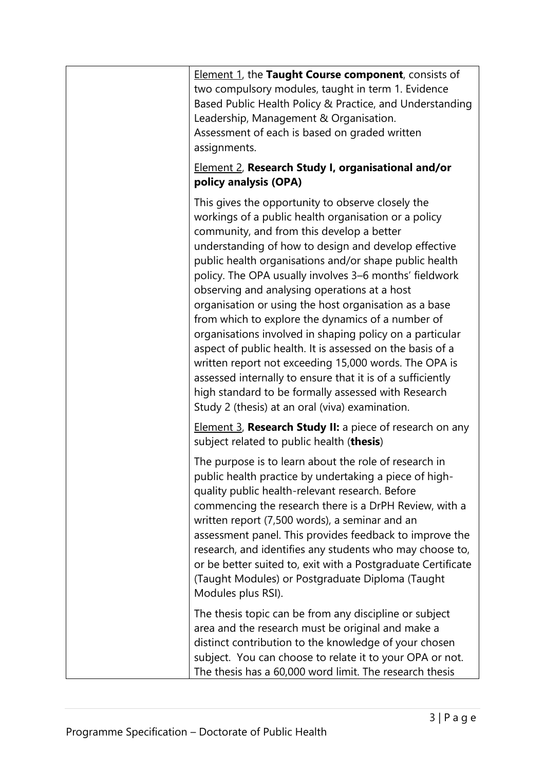| Element 1, the Taught Course component, consists of<br>two compulsory modules, taught in term 1. Evidence<br>Based Public Health Policy & Practice, and Understanding<br>Leadership, Management & Organisation.<br>Assessment of each is based on graded written<br>assignments.                                                                                                                                                                                                                                                                                                                                                                                                                                                                                                                                                                           |
|------------------------------------------------------------------------------------------------------------------------------------------------------------------------------------------------------------------------------------------------------------------------------------------------------------------------------------------------------------------------------------------------------------------------------------------------------------------------------------------------------------------------------------------------------------------------------------------------------------------------------------------------------------------------------------------------------------------------------------------------------------------------------------------------------------------------------------------------------------|
| Element 2, Research Study I, organisational and/or<br>policy analysis (OPA)                                                                                                                                                                                                                                                                                                                                                                                                                                                                                                                                                                                                                                                                                                                                                                                |
| This gives the opportunity to observe closely the<br>workings of a public health organisation or a policy<br>community, and from this develop a better<br>understanding of how to design and develop effective<br>public health organisations and/or shape public health<br>policy. The OPA usually involves 3-6 months' fieldwork<br>observing and analysing operations at a host<br>organisation or using the host organisation as a base<br>from which to explore the dynamics of a number of<br>organisations involved in shaping policy on a particular<br>aspect of public health. It is assessed on the basis of a<br>written report not exceeding 15,000 words. The OPA is<br>assessed internally to ensure that it is of a sufficiently<br>high standard to be formally assessed with Research<br>Study 2 (thesis) at an oral (viva) examination. |
| Element 3, Research Study II: a piece of research on any<br>subject related to public health (thesis)                                                                                                                                                                                                                                                                                                                                                                                                                                                                                                                                                                                                                                                                                                                                                      |
| The purpose is to learn about the role of research in<br>public health practice by undertaking a piece of high-<br>quality public health-relevant research. Before<br>commencing the research there is a DrPH Review, with a<br>written report (7,500 words), a seminar and an<br>assessment panel. This provides feedback to improve the<br>research, and identifies any students who may choose to,<br>or be better suited to, exit with a Postgraduate Certificate<br>(Taught Modules) or Postgraduate Diploma (Taught<br>Modules plus RSI).                                                                                                                                                                                                                                                                                                            |
| The thesis topic can be from any discipline or subject<br>area and the research must be original and make a<br>distinct contribution to the knowledge of your chosen<br>subject. You can choose to relate it to your OPA or not.<br>The thesis has a 60,000 word limit. The research thesis                                                                                                                                                                                                                                                                                                                                                                                                                                                                                                                                                                |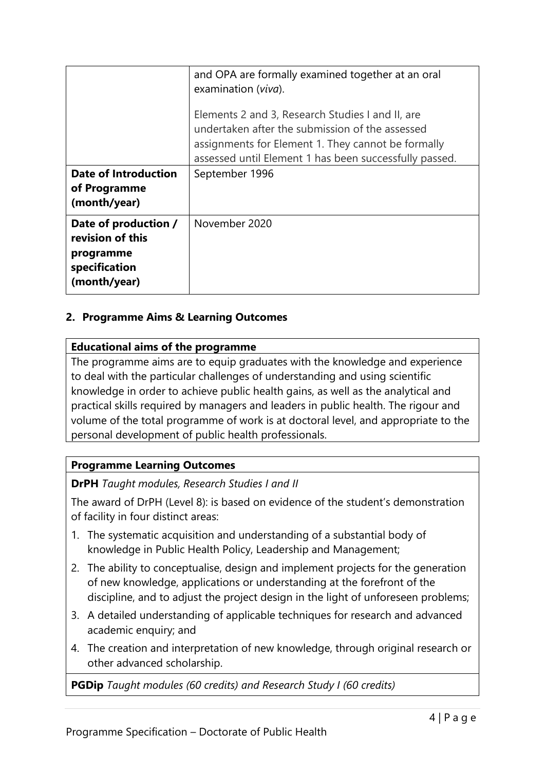|                                                                                        | and OPA are formally examined together at an oral<br>examination (viva).                                                                                                                                            |
|----------------------------------------------------------------------------------------|---------------------------------------------------------------------------------------------------------------------------------------------------------------------------------------------------------------------|
|                                                                                        | Elements 2 and 3, Research Studies I and II, are<br>undertaken after the submission of the assessed<br>assignments for Element 1. They cannot be formally<br>assessed until Element 1 has been successfully passed. |
| <b>Date of Introduction</b><br>of Programme<br>(month/year)                            | September 1996                                                                                                                                                                                                      |
| Date of production /<br>revision of this<br>programme<br>specification<br>(month/year) | November 2020                                                                                                                                                                                                       |

### **2. Programme Aims & Learning Outcomes**

#### **Educational aims of the programme**

The programme aims are to equip graduates with the knowledge and experience to deal with the particular challenges of understanding and using scientific knowledge in order to achieve public health gains, as well as the analytical and practical skills required by managers and leaders in public health. The rigour and volume of the total programme of work is at doctoral level, and appropriate to the personal development of public health professionals.

## **Programme Learning Outcomes**

**DrPH** *Taught modules, Research Studies I and II*

The award of DrPH (Level 8): is based on evidence of the student's demonstration of facility in four distinct areas:

- 1. The systematic acquisition and understanding of a substantial body of knowledge in Public Health Policy, Leadership and Management;
- 2. The ability to conceptualise, design and implement projects for the generation of new knowledge, applications or understanding at the forefront of the discipline, and to adjust the project design in the light of unforeseen problems;
- 3. A detailed understanding of applicable techniques for research and advanced academic enquiry; and
- 4. The creation and interpretation of new knowledge, through original research or other advanced scholarship.

**PGDip** *Taught modules (60 credits) and Research Study I (60 credits)*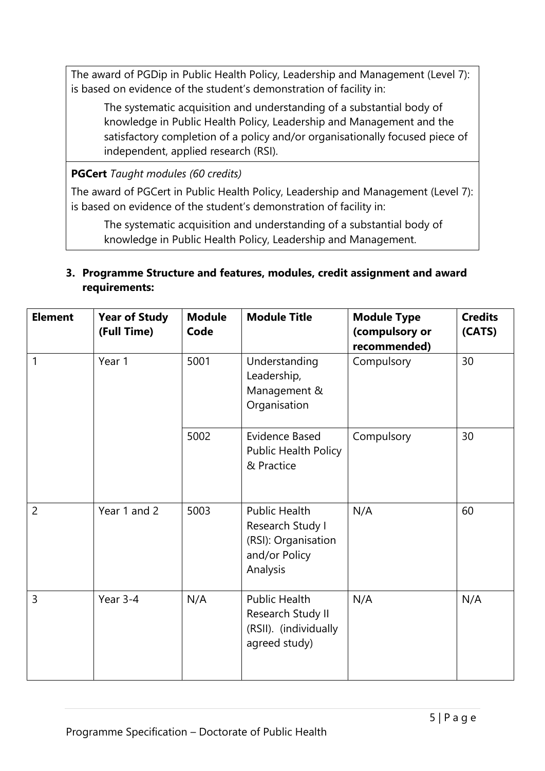The award of PGDip in Public Health Policy, Leadership and Management (Level 7): is based on evidence of the student's demonstration of facility in:

The systematic acquisition and understanding of a substantial body of knowledge in Public Health Policy, Leadership and Management and the satisfactory completion of a policy and/or organisationally focused piece of independent, applied research (RSI).

**PGCert** *Taught modules (60 credits)*

The award of PGCert in Public Health Policy, Leadership and Management (Level 7): is based on evidence of the student's demonstration of facility in:

The systematic acquisition and understanding of a substantial body of knowledge in Public Health Policy, Leadership and Management.

## **3. Programme Structure and features, modules, credit assignment and award requirements:**

| <b>Element</b> | <b>Year of Study</b><br>(Full Time) | <b>Module</b><br>Code | <b>Module Title</b>                                                                          | <b>Module Type</b><br>(compulsory or<br>recommended) | <b>Credits</b><br>(CATS) |
|----------------|-------------------------------------|-----------------------|----------------------------------------------------------------------------------------------|------------------------------------------------------|--------------------------|
| 1              | Year 1                              | 5001                  | Understanding<br>Leadership,<br>Management &<br>Organisation                                 | Compulsory                                           | 30                       |
|                |                                     | 5002                  | <b>Evidence Based</b><br><b>Public Health Policy</b><br>& Practice                           | Compulsory                                           | 30                       |
| $\overline{2}$ | Year 1 and 2                        | 5003                  | <b>Public Health</b><br>Research Study I<br>(RSI): Organisation<br>and/or Policy<br>Analysis | N/A                                                  | 60                       |
| $\overline{3}$ | Year 3-4                            | N/A                   | <b>Public Health</b><br>Research Study II<br>(RSII). (individually<br>agreed study)          | N/A                                                  | N/A                      |